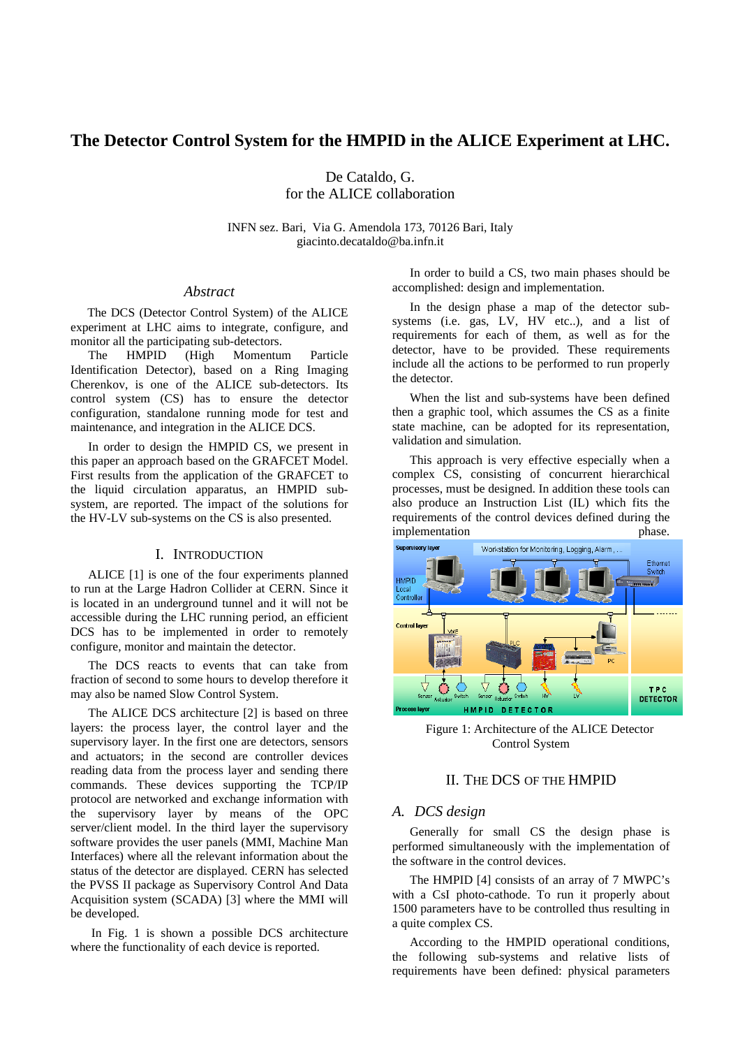# **The Detector Control System for the HMPID in the ALICE Experiment at LHC.**

De Cataldo, G. for the ALICE collaboration

INFN sez. Bari, Via G. Amendola 173, 70126 Bari, Italy giacinto.decataldo@ba.infn.it

## *Abstract*

The DCS (Detector Control System) of the ALICE experiment at LHC aims to integrate, configure, and monitor all the participating sub-detectors.

The HMPID (High Momentum Particle Identification Detector), based on a Ring Imaging Cherenkov, is one of the ALICE sub-detectors. Its control system (CS) has to ensure the detector configuration, standalone running mode for test and maintenance, and integration in the ALICE DCS.

In order to design the HMPID CS, we present in this paper an approach based on the GRAFCET Model. First results from the application of the GRAFCET to the liquid circulation apparatus, an HMPID subsystem, are reported. The impact of the solutions for the HV-LV sub-systems on the CS is also presented.

## I. INTRODUCTION

ALICE [1] is one of the four experiments planned to run at the Large Hadron Collider at CERN. Since it is located in an underground tunnel and it will not be accessible during the LHC running period, an efficient DCS has to be implemented in order to remotely configure, monitor and maintain the detector.

The DCS reacts to events that can take from fraction of second to some hours to develop therefore it may also be named Slow Control System.

The ALICE DCS architecture [2] is based on three layers: the process layer, the control layer and the supervisory layer. In the first one are detectors, sensors and actuators; in the second are controller devices reading data from the process layer and sending there commands. These devices supporting the TCP/IP protocol are networked and exchange information with the supervisory layer by means of the OPC server/client model. In the third layer the supervisory software provides the user panels (MMI, Machine Man Interfaces) where all the relevant information about the status of the detector are displayed. CERN has selected the PVSS II package as Supervisory Control And Data Acquisition system (SCADA) [3] where the MMI will be developed.

 In Fig. 1 is shown a possible DCS architecture where the functionality of each device is reported.

In order to build a CS, two main phases should be accomplished: design and implementation.

In the design phase a map of the detector subsystems (i.e. gas, LV, HV etc..), and a list of requirements for each of them, as well as for the detector, have to be provided. These requirements include all the actions to be performed to run properly the detector*.*

When the list and sub-systems have been defined then a graphic tool, which assumes the CS as a finite state machine, can be adopted for its representation, validation and simulation.

This approach is very effective especially when a complex CS, consisting of concurrent hierarchical processes, must be designed. In addition these tools can also produce an Instruction List (IL) which fits the requirements of the control devices defined during the implementation phase.



Figure 1: Architecture of the ALICE Detector Control System

# II. THE DCS OF THE HMPID

# *A. DCS design*

Generally for small CS the design phase is performed simultaneously with the implementation of the software in the control devices.

The HMPID [4] consists of an array of 7 MWPC's with a CsI photo-cathode. To run it properly about 1500 parameters have to be controlled thus resulting in a quite complex CS.

According to the HMPID operational conditions, the following sub-systems and relative lists of requirements have been defined: physical parameters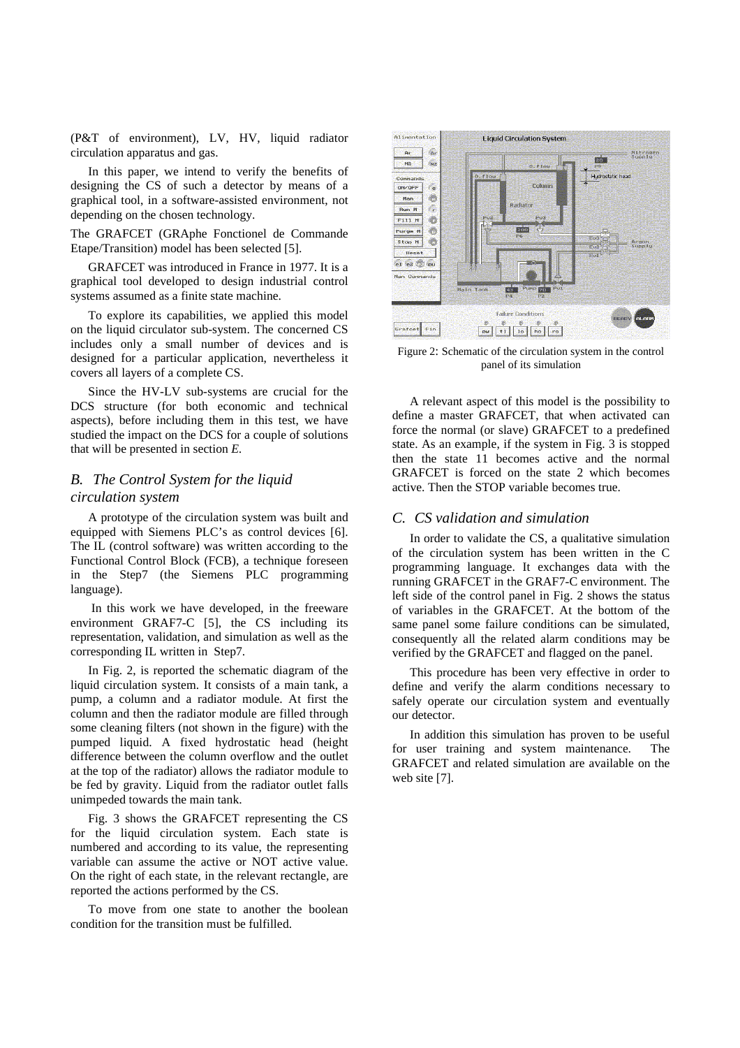(P&T of environment), LV, HV, liquid radiator circulation apparatus and gas.

In this paper, we intend to verify the benefits of designing the CS of such a detector by means of a graphical tool, in a software-assisted environment, not depending on the chosen technology.

The GRAFCET (GRAphe Fonctionel de Commande Etape/Transition) model has been selected [5].

GRAFCET was introduced in France in 1977. It is a graphical tool developed to design industrial control systems assumed as a finite state machine.

To explore its capabilities, we applied this model on the liquid circulator sub-system. The concerned CS includes only a small number of devices and is designed for a particular application, nevertheless it covers all layers of a complete CS.

Since the HV-LV sub-systems are crucial for the DCS structure (for both economic and technical aspects), before including them in this test, we have studied the impact on the DCS for a couple of solutions that will be presented in section *E.*

# *B. The Control System for the liquid circulation system*

A prototype of the circulation system was built and equipped with Siemens PLC's as control devices [6]. The IL (control software) was written according to the Functional Control Block (FCB), a technique foreseen in the Step7 (the Siemens PLC programming language).

 In this work we have developed, in the freeware environment GRAF7-C [5], the CS including its representation, validation, and simulation as well as the corresponding IL written in Step7.

In Fig. 2, is reported the schematic diagram of the liquid circulation system. It consists of a main tank, a pump, a column and a radiator module. At first the column and then the radiator module are filled through some cleaning filters (not shown in the figure) with the pumped liquid. A fixed hydrostatic head (height difference between the column overflow and the outlet at the top of the radiator) allows the radiator module to be fed by gravity. Liquid from the radiator outlet falls unimpeded towards the main tank.

Fig. 3 shows the GRAFCET representing the CS for the liquid circulation system. Each state is numbered and according to its value, the representing variable can assume the active or NOT active value. On the right of each state, in the relevant rectangle, are reported the actions performed by the CS.

To move from one state to another the boolean condition for the transition must be fulfilled.



Figure 2: Schematic of the circulation system in the control panel of its simulation

A relevant aspect of this model is the possibility to define a master GRAFCET, that when activated can force the normal (or slave) GRAFCET to a predefined state. As an example, if the system in Fig. 3 is stopped then the state 11 becomes active and the normal GRAFCET is forced on the state 2 which becomes active. Then the STOP variable becomes true.

## *C. CS validation and simulation*

In order to validate the CS, a qualitative simulation of the circulation system has been written in the C programming language. It exchanges data with the running GRAFCET in the GRAF7-C environment. The left side of the control panel in Fig. 2 shows the status of variables in the GRAFCET. At the bottom of the same panel some failure conditions can be simulated, consequently all the related alarm conditions may be verified by the GRAFCET and flagged on the panel.

This procedure has been very effective in order to define and verify the alarm conditions necessary to safely operate our circulation system and eventually our detector.

In addition this simulation has proven to be useful for user training and system maintenance*.* The GRAFCET and related simulation are available on the web site [7].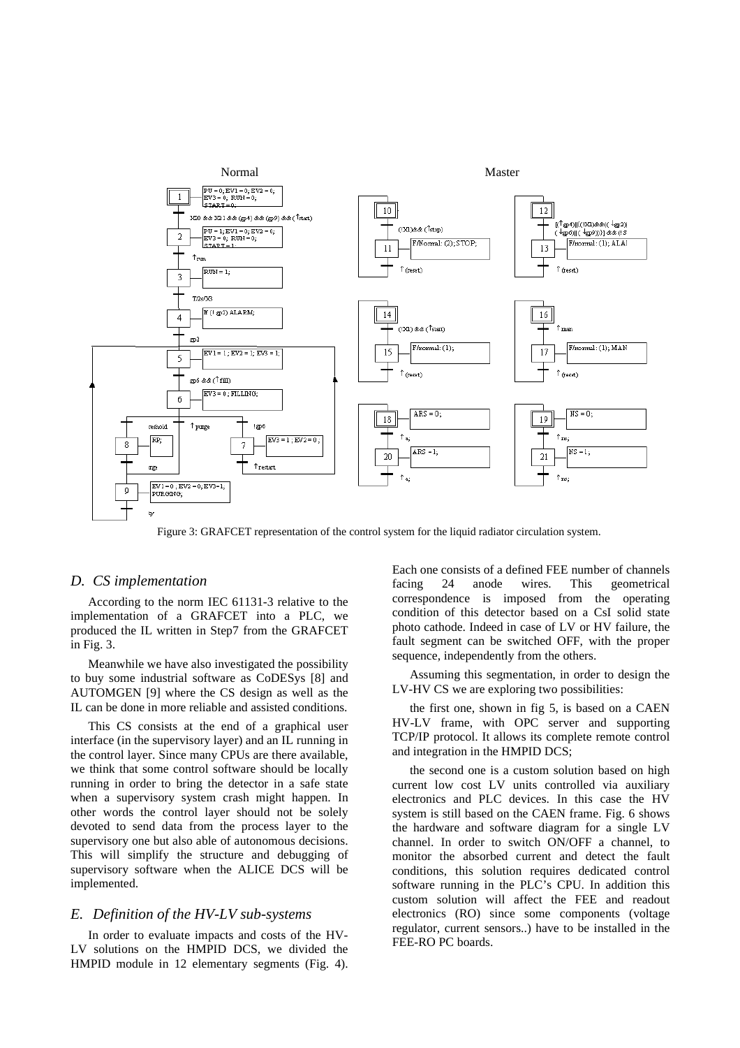

Figure 3: GRAFCET representation of the control system for the liquid radiator circulation system.

#### *D. CS implementation*

According to the norm IEC 61131-3 relative to the implementation of a GRAFCET into a PLC, we produced the IL written in Step7 from the GRAFCET in Fig. 3.

Meanwhile we have also investigated the possibility to buy some industrial software as CoDESys [8] and AUTOMGEN [9] where the CS design as well as the IL can be done in more reliable and assisted conditions.

This CS consists at the end of a graphical user interface (in the supervisory layer) and an IL running in the control layer. Since many CPUs are there available, we think that some control software should be locally running in order to bring the detector in a safe state when a supervisory system crash might happen. In other words the control layer should not be solely devoted to send data from the process layer to the supervisory one but also able of autonomous decisions. This will simplify the structure and debugging of supervisory software when the ALICE DCS will be implemented.

#### *E. Definition of the HV-LV sub-systems*

In order to evaluate impacts and costs of the HV-LV solutions on the HMPID DCS, we divided the HMPID module in 12 elementary segments (Fig. 4). Each one consists of a defined FEE number of channels facing 24 anode wires. This geometrical correspondence is imposed from the operating condition of this detector based on a CsI solid state photo cathode. Indeed in case of LV or HV failure, the fault segment can be switched OFF, with the proper sequence, independently from the others.

Assuming this segmentation, in order to design the LV-HV CS we are exploring two possibilities:

the first one, shown in fig 5, is based on a CAEN HV-LV frame, with OPC server and supporting TCP/IP protocol. It allows its complete remote control and integration in the HMPID DCS;

the second one is a custom solution based on high current low cost LV units controlled via auxiliary electronics and PLC devices. In this case the HV system is still based on the CAEN frame. Fig. 6 shows the hardware and software diagram for a single LV channel. In order to switch ON/OFF a channel, to monitor the absorbed current and detect the fault conditions, this solution requires dedicated control software running in the PLC's CPU. In addition this custom solution will affect the FEE and readout electronics (RO) since some components (voltage regulator, current sensors..) have to be installed in the FEE-RO PC boards.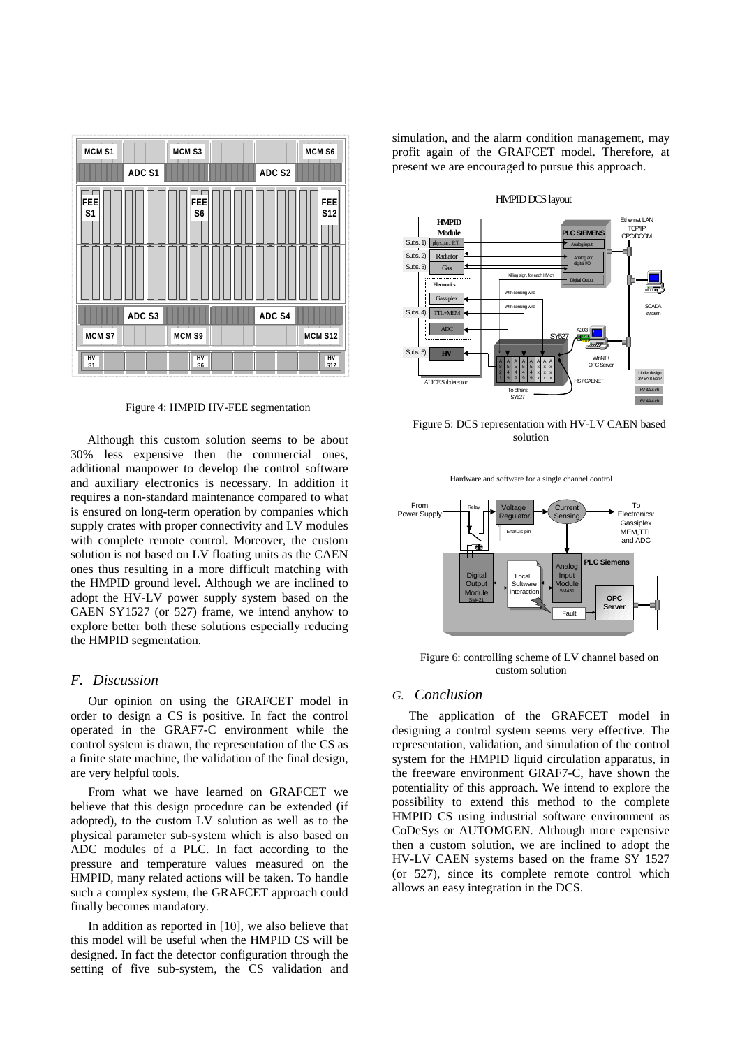

Figure 4: HMPID HV-FEE segmentation

Although this custom solution seems to be about 30% less expensive then the commercial ones, additional manpower to develop the control software and auxiliary electronics is necessary. In addition it requires a non-standard maintenance compared to what is ensured on long-term operation by companies which supply crates with proper connectivity and LV modules with complete remote control. Moreover, the custom solution is not based on LV floating units as the CAEN ones thus resulting in a more difficult matching with the HMPID ground level. Although we are inclined to adopt the HV-LV power supply system based on the CAEN SY1527 (or 527) frame, we intend anyhow to explore better both these solutions especially reducing the HMPID segmentation.

## *F. Discussion*

Our opinion on using the GRAFCET model in order to design a CS is positive. In fact the control operated in the GRAF7-C environment while the control system is drawn, the representation of the CS as a finite state machine, the validation of the final design, are very helpful tools.

From what we have learned on GRAFCET we believe that this design procedure can be extended (if adopted), to the custom LV solution as well as to the physical parameter sub-system which is also based on ADC modules of a PLC. In fact according to the pressure and temperature values measured on the HMPID, many related actions will be taken. To handle such a complex system, the GRAFCET approach could finally becomes mandatory.

In addition as reported in [10], we also believe that this model will be useful when the HMPID CS will be designed. In fact the detector configuration through the setting of five sub-system, the CS validation and

simulation, and the alarm condition management, may profit again of the GRAFCET model. Therefore, at present we are encouraged to pursue this approach.



Figure 5: DCS representation with HV-LV CAEN based solution

Hardware and software for a single channel control



Figure 6: controlling scheme of LV channel based on custom solution

# *G. Conclusion*

The application of the GRAFCET model in designing a control system seems very effective. The representation, validation, and simulation of the control system for the HMPID liquid circulation apparatus, in the freeware environment GRAF7-C, have shown the potentiality of this approach. We intend to explore the possibility to extend this method to the complete HMPID CS using industrial software environment as CoDeSys or AUTOMGEN. Although more expensive then a custom solution, we are inclined to adopt the HV-LV CAEN systems based on the frame SY 1527 (or 527), since its complete remote control which allows an easy integration in the DCS.